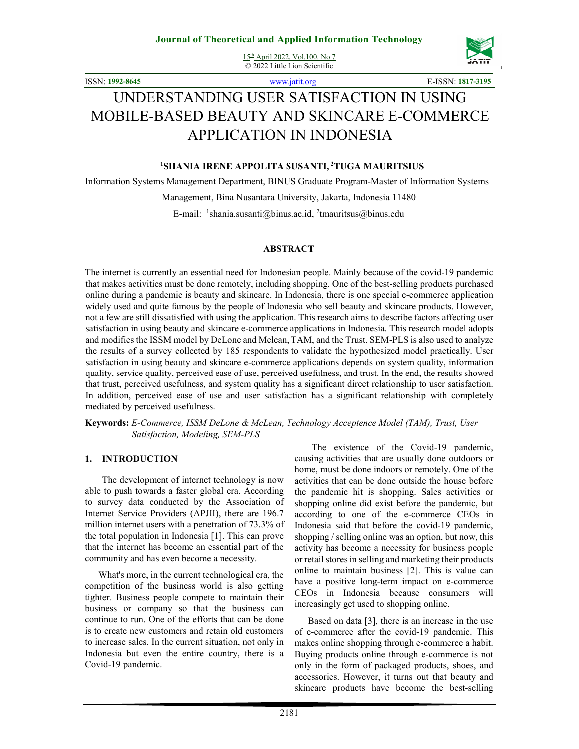15th April 2022. Vol.100. No 7 © 2022 Little Lion Scientific



ISSN: **1992-8645** www.jatit.org E-ISSN: **1817-3195**

# UNDERSTANDING USER SATISFACTION IN USING MOBILE-BASED BEAUTY AND SKINCARE E-COMMERCE APPLICATION IN INDONESIA

## **<sup>1</sup>SHANIA IRENE APPOLITA SUSANTI,<sup>2</sup>TUGA MAURITSIUS**

Information Systems Management Department, BINUS Graduate Program-Master of Information Systems

Management, Bina Nusantara University, Jakarta, Indonesia 11480

E-mail: <sup>1</sup>shania.susanti@binus.ac.id, <sup>2</sup>tmauritsus@binus.edu

#### **ABSTRACT**

The internet is currently an essential need for Indonesian people. Mainly because of the covid-19 pandemic that makes activities must be done remotely, including shopping. One of the best-selling products purchased online during a pandemic is beauty and skincare. In Indonesia, there is one special e-commerce application widely used and quite famous by the people of Indonesia who sell beauty and skincare products. However, not a few are still dissatisfied with using the application. This research aims to describe factors affecting user satisfaction in using beauty and skincare e-commerce applications in Indonesia. This research model adopts and modifies the ISSM model by DeLone and Mclean, TAM, and the Trust. SEM-PLS is also used to analyze the results of a survey collected by 185 respondents to validate the hypothesized model practically. User satisfaction in using beauty and skincare e-commerce applications depends on system quality, information quality, service quality, perceived ease of use, perceived usefulness, and trust. In the end, the results showed that trust, perceived usefulness, and system quality has a significant direct relationship to user satisfaction. In addition, perceived ease of use and user satisfaction has a significant relationship with completely mediated by perceived usefulness.

**Keywords:** *E-Commerce, ISSM DeLone & McLean, Technology Acceptence Model (TAM), Trust, User Satisfaction, Modeling, SEM-PLS*

#### **1. INTRODUCTION**

The development of internet technology is now able to push towards a faster global era. According to survey data conducted by the Association of Internet Service Providers (APJII), there are 196.7 million internet users with a penetration of 73.3% of the total population in Indonesia [1]. This can prove that the internet has become an essential part of the community and has even become a necessity.

What's more, in the current technological era, the competition of the business world is also getting tighter. Business people compete to maintain their business or company so that the business can continue to run. One of the efforts that can be done is to create new customers and retain old customers to increase sales. In the current situation, not only in Indonesia but even the entire country, there is a Covid-19 pandemic.

The existence of the Covid-19 pandemic, causing activities that are usually done outdoors or home, must be done indoors or remotely. One of the activities that can be done outside the house before the pandemic hit is shopping. Sales activities or shopping online did exist before the pandemic, but according to one of the e-commerce CEOs in Indonesia said that before the covid-19 pandemic, shopping / selling online was an option, but now, this activity has become a necessity for business people or retail stores in selling and marketing their products online to maintain business [2]. This is value can have a positive long-term impact on e-commerce CEOs in Indonesia because consumers will increasingly get used to shopping online.

Based on data [3], there is an increase in the use of e-commerce after the covid-19 pandemic. This makes online shopping through e-commerce a habit. Buying products online through e-commerce is not only in the form of packaged products, shoes, and accessories. However, it turns out that beauty and skincare products have become the best-selling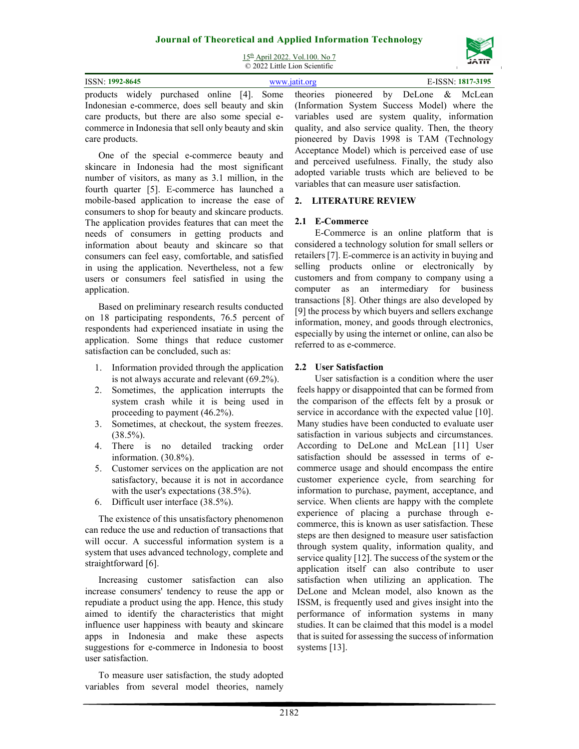15th April 2022. Vol.100. No 7 © 2022 Little Lion Scientific



| <b>ISSN: 1992-8645</b> | E-ISSN: 1817-3195<br>www.jatit.org                                                                       |
|------------------------|----------------------------------------------------------------------------------------------------------|
|                        | products widely purchased online [4]. Some theories pioneered by DeLone & McLean                         |
|                        | Indonesian e-commerce, does sell beauty and skin (Information System Success Model) where the            |
|                        | care products, but there are also some special e- variables used are system quality, information         |
|                        | commerce in Indonesia that sell only beauty and skin quality, and also service quality. Then, the theory |

One of the special e-commerce beauty and skincare in Indonesia had the most significant number of visitors, as many as 3.1 million, in the fourth quarter [5]. E-commerce has launched a mobile-based application to increase the ease of consumers to shop for beauty and skincare products. The application provides features that can meet the needs of consumers in getting products and information about beauty and skincare so that consumers can feel easy, comfortable, and satisfied in using the application. Nevertheless, not a few users or consumers feel satisfied in using the application.

care products.

Based on preliminary research results conducted on 18 participating respondents, 76.5 percent of respondents had experienced insatiate in using the application. Some things that reduce customer satisfaction can be concluded, such as:

- 1. Information provided through the application is not always accurate and relevant (69.2%).
- 2. Sometimes, the application interrupts the system crash while it is being used in proceeding to payment (46.2%).
- 3. Sometimes, at checkout, the system freezes.  $(38.5\%)$ .
- 4. There is no detailed tracking order information. (30.8%).
- 5. Customer services on the application are not satisfactory, because it is not in accordance with the user's expectations (38.5%).
- 6. Difficult user interface (38.5%).

The existence of this unsatisfactory phenomenon can reduce the use and reduction of transactions that will occur. A successful information system is a system that uses advanced technology, complete and straightforward [6].

Increasing customer satisfaction can also increase consumers' tendency to reuse the app or repudiate a product using the app. Hence, this study aimed to identify the characteristics that might influence user happiness with beauty and skincare apps in Indonesia and make these aspects suggestions for e-commerce in Indonesia to boost user satisfaction.

To measure user satisfaction, the study adopted variables from several model theories, namely

quality, and also service quality. Then, the theory pioneered by Davis 1998 is TAM (Technology Acceptance Model) which is perceived ease of use and perceived usefulness. Finally, the study also adopted variable trusts which are believed to be variables that can measure user satisfaction.

## **2. LITERATURE REVIEW**

## **2.1 E-Commerce**

E-Commerce is an online platform that is considered a technology solution for small sellers or retailers [7]. E-commerce is an activity in buying and selling products online or electronically by customers and from company to company using a computer as an intermediary for business transactions [8]. Other things are also developed by [9] the process by which buyers and sellers exchange information, money, and goods through electronics, especially by using the internet or online, can also be referred to as e-commerce.

## **2.2 User Satisfaction**

User satisfaction is a condition where the user feels happy or disappointed that can be formed from the comparison of the effects felt by a prosuk or service in accordance with the expected value [10]. Many studies have been conducted to evaluate user satisfaction in various subjects and circumstances. According to DeLone and McLean [11] User satisfaction should be assessed in terms of ecommerce usage and should encompass the entire customer experience cycle, from searching for information to purchase, payment, acceptance, and service. When clients are happy with the complete experience of placing a purchase through ecommerce, this is known as user satisfaction. These steps are then designed to measure user satisfaction through system quality, information quality, and service quality [12]. The success of the system or the application itself can also contribute to user satisfaction when utilizing an application. The DeLone and Mclean model, also known as the ISSM, is frequently used and gives insight into the performance of information systems in many studies. It can be claimed that this model is a model that is suited for assessing the success of information systems [13].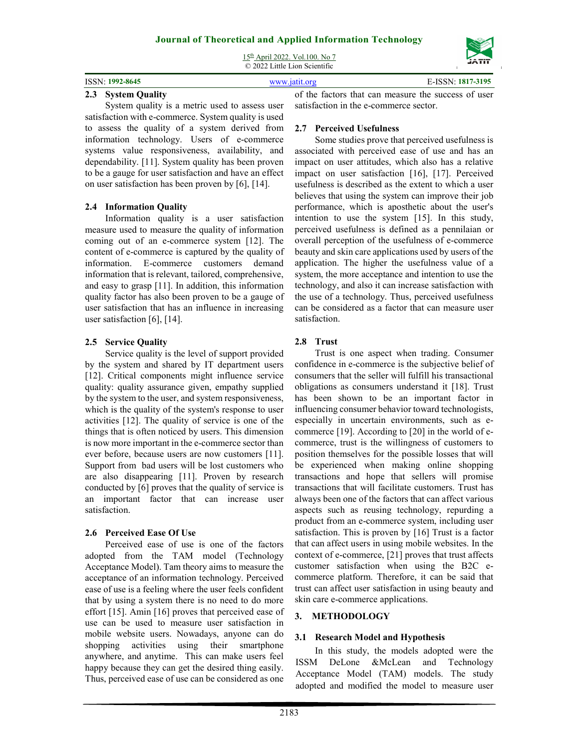15th April 2022. Vol.100. No 7 © 2022 Little Lion Scientific

| <b>ISSN</b><br>$\sqrt{21992-8645}$ | `195<br>1017 |
|------------------------------------|--------------|
|                                    |              |

## **2.3 System Quality**

System quality is a metric used to assess user satisfaction with e-commerce. System quality is used to assess the quality of a system derived from information technology. Users of e-commerce systems value responsiveness, availability, and dependability. [11]. System quality has been proven to be a gauge for user satisfaction and have an effect on user satisfaction has been proven by [6], [14].

#### **2.4 Information Quality**

Information quality is a user satisfaction measure used to measure the quality of information coming out of an e-commerce system [12]. The content of e-commerce is captured by the quality of information. E-commerce customers demand information that is relevant, tailored, comprehensive, and easy to grasp [11]. In addition, this information quality factor has also been proven to be a gauge of user satisfaction that has an influence in increasing user satisfaction [6], [14].

## **2.5 Service Quality**

Service quality is the level of support provided by the system and shared by IT department users [12]. Critical components might influence service quality: quality assurance given, empathy supplied by the system to the user, and system responsiveness, which is the quality of the system's response to user activities [12]. The quality of service is one of the things that is often noticed by users. This dimension is now more important in the e-commerce sector than ever before, because users are now customers [11]. Support from bad users will be lost customers who are also disappearing [11]. Proven by research conducted by [6] proves that the quality of service is an important factor that can increase user satisfaction.

## **2.6 Perceived Ease Of Use**

Perceived ease of use is one of the factors adopted from the TAM model (Technology Acceptance Model). Tam theory aims to measure the acceptance of an information technology. Perceived ease of use is a feeling where the user feels confident that by using a system there is no need to do more effort [15]. Amin [16] proves that perceived ease of use can be used to measure user satisfaction in mobile website users. Nowadays, anyone can do shopping activities using their smartphone anywhere, and anytime. This can make users feel happy because they can get the desired thing easily. Thus, perceived ease of use can be considered as one

of the factors that can measure the success of user satisfaction in the e-commerce sector.

## **2.7 Perceived Usefulness**

Some studies prove that perceived usefulness is associated with perceived ease of use and has an impact on user attitudes, which also has a relative impact on user satisfaction [16], [17]. Perceived usefulness is described as the extent to which a user believes that using the system can improve their job performance, which is aposthetic about the user's intention to use the system [15]. In this study, perceived usefulness is defined as a pennilaian or overall perception of the usefulness of e-commerce beauty and skin care applications used by users of the application. The higher the usefulness value of a system, the more acceptance and intention to use the technology, and also it can increase satisfaction with the use of a technology. Thus, perceived usefulness can be considered as a factor that can measure user satisfaction.

## **2.8 Trust**

Trust is one aspect when trading. Consumer confidence in e-commerce is the subjective belief of consumers that the seller will fulfill his transactional obligations as consumers understand it [18]. Trust has been shown to be an important factor in influencing consumer behavior toward technologists, especially in uncertain environments, such as ecommerce [19]. According to [20] in the world of ecommerce, trust is the willingness of customers to position themselves for the possible losses that will be experienced when making online shopping transactions and hope that sellers will promise transactions that will facilitate customers. Trust has always been one of the factors that can affect various aspects such as reusing technology, repurding a product from an e-commerce system, including user satisfaction. This is proven by [16] Trust is a factor that can affect users in using mobile websites. In the context of e-commerce, [21] proves that trust affects customer satisfaction when using the B2C ecommerce platform. Therefore, it can be said that trust can affect user satisfaction in using beauty and skin care e-commerce applications.

# **3. METHODOLOGY**

## **3.1 Research Model and Hypothesis**

In this study, the models adopted were the ISSM DeLone &McLean and Technology Acceptance Model (TAM) models. The study adopted and modified the model to measure user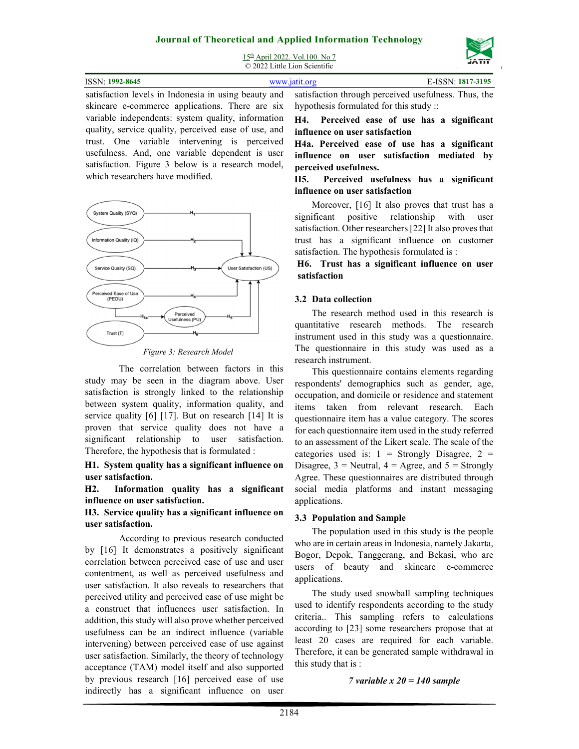15th April 2022. Vol.100. No 7 © 2022 Little Lion Scientific



| ISSN: 1992-8645 | www.jatit.org                                                                                            | E-ISSN: 1817-3195 |  |
|-----------------|----------------------------------------------------------------------------------------------------------|-------------------|--|
|                 | estisfaction lavels in Indonesia in using beguty and satisfaction through perceived usefulness. Thus the |                   |  |

satisfaction levels in Indonesia in using beauty and skincare e-commerce applications. There are six variable independents: system quality, information quality, service quality, perceived ease of use, and trust. One variable intervening is perceived usefulness. And, one variable dependent is user satisfaction. Figure 3 below is a research model, which researchers have modified.



*Figure 3: Research Model* 

 The correlation between factors in this study may be seen in the diagram above. User satisfaction is strongly linked to the relationship between system quality, information quality, and service quality [6] [17]. But on research [14] It is proven that service quality does not have a significant relationship to user satisfaction. Therefore, the hypothesis that is formulated :

**H1. System quality has a significant influence on user satisfaction.** 

**H2. Information quality has a significant influence on user satisfaction.** 

**H3. Service quality has a significant influence on user satisfaction.** 

According to previous research conducted by [16] It demonstrates a positively significant correlation between perceived ease of use and user contentment, as well as perceived usefulness and user satisfaction. It also reveals to researchers that perceived utility and perceived ease of use might be a construct that influences user satisfaction. In addition, this study will also prove whether perceived usefulness can be an indirect influence (variable intervening) between perceived ease of use against user satisfaction. Similarly, the theory of technology acceptance (TAM) model itself and also supported by previous research [16] perceived ease of use indirectly has a significant influence on user

satisfaction through perceived usefulness. Thus, the hypothesis formulated for this study ::

**H4. Perceived ease of use has a significant influence on user satisfaction** 

**H4a. Perceived ease of use has a significant influence on user satisfaction mediated by perceived usefulness.** 

**H5. Perceived usefulness has a significant influence on user satisfaction** 

Moreover, [16] It also proves that trust has a significant positive relationship with user satisfaction. Other researchers [22] It also proves that trust has a significant influence on customer satisfaction. The hypothesis formulated is :

**H6. Trust has a significant influence on user satisfaction** 

## **3.2 Data collection**

The research method used in this research is quantitative research methods. The research instrument used in this study was a questionnaire. The questionnaire in this study was used as a research instrument.

This questionnaire contains elements regarding respondents' demographics such as gender, age, occupation, and domicile or residence and statement items taken from relevant research. Each questionnaire item has a value category. The scores for each questionnaire item used in the study referred to an assessment of the Likert scale. The scale of the categories used is:  $1 =$  Strongly Disagree,  $2 =$ Disagree,  $3$  = Neutral,  $4$  = Agree, and  $5$  = Strongly Agree. These questionnaires are distributed through social media platforms and instant messaging applications.

#### **3.3 Population and Sample**

The population used in this study is the people who are in certain areas in Indonesia, namely Jakarta, Bogor, Depok, Tanggerang, and Bekasi, who are users of beauty and skincare e-commerce applications.

The study used snowball sampling techniques used to identify respondents according to the study criteria.. This sampling refers to calculations according to [23] some researchers propose that at least 20 cases are required for each variable. Therefore, it can be generated sample withdrawal in this study that is :

#### *7 variable x 20 = 140 sample*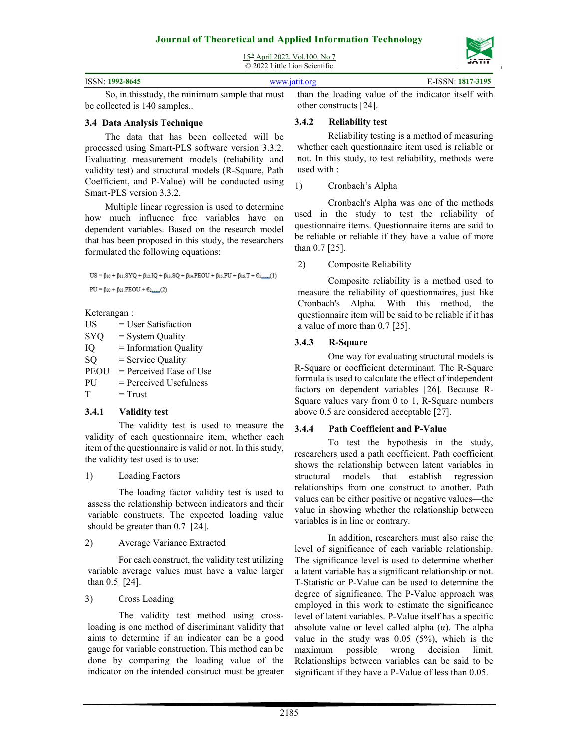15th April 2022. Vol.100. No 7

© 2022 Little Lion Scientific

| ISSN: 1992-8645 | www.jatit.org |                                                                                                     | E-ISSN: 1817-3195 |
|-----------------|---------------|-----------------------------------------------------------------------------------------------------|-------------------|
|                 |               | So, in this study, the minimum sample that must than the loading value of the indicator itself with |                   |

be collected is 140 samples..

#### **3.4 Data Analysis Technique**

The data that has been collected will be processed using Smart-PLS software version 3.3.2. Evaluating measurement models (reliability and validity test) and structural models (R-Square, Path Coefficient, and P-Value) will be conducted using Smart-PLS version 3.3.2.

Multiple linear regression is used to determine how much influence free variables have on dependent variables. Based on the research model that has been proposed in this study, the researchers formulated the following equations:

 $US = \beta_{10} + \beta_{11}.SYQ + \beta_{12}.IQ + \beta_{13}.SQ + \beta_{14}.PEOU + \beta_{15}.PU + \beta_{16}.T + \varepsilon_{11}....(1)$  $PU = \beta_{20} + \beta_{21} . \nonumber \\ \mathrm{PEOU} + \varepsilon_{2,\ldots,}(2)$ 

Keterangan :

| US          | $=$ User Satisfaction     |
|-------------|---------------------------|
| <b>SYQ</b>  | $=$ System Quality        |
| IО          | $=$ Information Quality   |
| SO          | $=$ Service Quality       |
| <b>PEOU</b> | $=$ Perceived Ease of Use |
| PU          | $=$ Perceived Usefulness  |
| Т           | $=$ Trust                 |
|             |                           |

#### **3.4.1 Validity test**

The validity test is used to measure the validity of each questionnaire item, whether each item of the questionnaire is valid or not. In this study, the validity test used is to use:

#### 1) Loading Factors

The loading factor validity test is used to assess the relationship between indicators and their variable constructs. The expected loading value should be greater than 0.7 [24].

2) Average Variance Extracted

For each construct, the validity test utilizing variable average values must have a value larger than 0.5 [24].

## 3) Cross Loading

The validity test method using crossloading is one method of discriminant validity that aims to determine if an indicator can be a good gauge for variable construction. This method can be done by comparing the loading value of the indicator on the intended construct must be greater

than the loading value of the indicator itself with other constructs [24].

#### **3.4.2 Reliability test**

Reliability testing is a method of measuring whether each questionnaire item used is reliable or not. In this study, to test reliability, methods were used with :

#### 1) Cronbach's Alpha

Cronbach's Alpha was one of the methods used in the study to test the reliability of questionnaire items. Questionnaire items are said to be reliable or reliable if they have a value of more than 0.7 [25].

#### 2) Composite Reliability

Composite reliability is a method used to measure the reliability of questionnaires, just like Cronbach's Alpha. With this method, the questionnaire item will be said to be reliable if it has a value of more than 0.7 [25].

## **3.4.3 R-Square**

One way for evaluating structural models is R-Square or coefficient determinant. The R-Square formula is used to calculate the effect of independent factors on dependent variables [26]. Because R-Square values vary from 0 to 1, R-Square numbers above 0.5 are considered acceptable [27].

## **3.4.4 Path Coefficient and P-Value**

To test the hypothesis in the study, researchers used a path coefficient. Path coefficient shows the relationship between latent variables in structural models that establish regression relationships from one construct to another. Path values can be either positive or negative values—the value in showing whether the relationship between variables is in line or contrary.

In addition, researchers must also raise the level of significance of each variable relationship. The significance level is used to determine whether a latent variable has a significant relationship or not. T-Statistic or P-Value can be used to determine the degree of significance. The P-Value approach was employed in this work to estimate the significance level of latent variables. P-Value itself has a specific absolute value or level called alpha  $(\alpha)$ . The alpha value in the study was 0.05 (5%), which is the maximum possible wrong decision limit. Relationships between variables can be said to be significant if they have a P-Value of less than 0.05.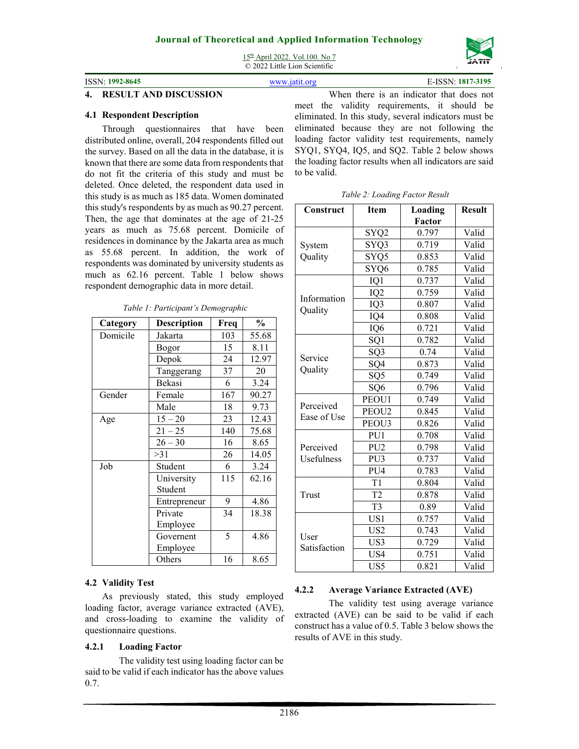15th April 2022. Vol.100. No 7 © 2022 Little Lion Scientific

ISSN: **1992-8645** www.jatit.org E-ISSN: **1817-3195**

| ISSN-1992-8645 | www jatit org |
|----------------|---------------|

#### **4. RESULT AND DISCUSSION**

#### **4.1 Respondent Description**

Through questionnaires that have been distributed online, overall, 204 respondents filled out the survey. Based on all the data in the database, it is known that there are some data from respondents that do not fit the criteria of this study and must be deleted. Once deleted, the respondent data used in this study is as much as 185 data. Women dominated this study's respondents by as much as 90.27 percent. Then, the age that dominates at the age of 21-25 years as much as 75.68 percent. Domicile of residences in dominance by the Jakarta area as much as 55.68 percent. In addition, the work of respondents was dominated by university students as much as 62.16 percent. Table 1 below shows respondent demographic data in more detail.

| Category | <b>Description</b> | Freq | $\frac{0}{0}$ |
|----------|--------------------|------|---------------|
| Domicile | Jakarta            | 103  | 55.68         |
|          | Bogor              | 15   | 8.11          |
|          | Depok              | 24   | 12.97         |
|          | Tanggerang         | 37   | 20            |
|          | <b>Bekasi</b>      | 6    | 3.24          |
| Gender   | Female             | 167  | 90.27         |
|          | Male               | 18   | 9.73          |
| Age      | $15 - 20$          | 23   | 12.43         |
|          | $21 - 25$          | 140  | 75.68         |
|          | $26 - 30$          | 16   | 8.65          |
|          | >31                | 26   | 14.05         |
| Job      | Student            | 6    | 3.24          |
|          | University         | 115  | 62.16         |
|          | Student            |      |               |
|          | Entrepreneur       | 9    | 4.86          |
|          | Private            | 34   | 18.38         |
|          | Employee           |      |               |
|          | Governent          | 5    | 4.86          |
|          | Employee           |      |               |
|          | Others             | 16   | 8.65          |

*Table 1: Participant's Demographic*

#### **4.2 Validity Test**

As previously stated, this study employed loading factor, average variance extracted (AVE), and cross-loading to examine the validity of questionnaire questions.

#### **4.2.1 Loading Factor**

The validity test using loading factor can be said to be valid if each indicator has the above values 0.7.

When there is an indicator that does not meet the validity requirements, it should be eliminated. In this study, several indicators must be eliminated because they are not following the loading factor validity test requirements, namely SYQ1, SYQ4, IQ5, and SQ2. Table 2 below shows the loading factor results when all indicators are said to be valid.

|  | Table 2: Loading Factor Result |  |
|--|--------------------------------|--|
|  |                                |  |

| Construct                | <b>Item</b>       | Loading<br>Factor | <b>Result</b> |
|--------------------------|-------------------|-------------------|---------------|
|                          | SYQ <sub>2</sub>  | 0.797             | Valid         |
| System                   | SYQ3              | 0.719             | Valid         |
| Quality                  | SYQ5              | 0.853             | Valid         |
|                          | SYQ6              | 0.785             | Valid         |
|                          | IQ1               | 0.737             | Valid         |
|                          | IQ <sub>2</sub>   | 0.759             | Valid         |
| Information              | IQ3               | 0.807             | Valid         |
| Quality                  | IQ4               | 0.808             | Valid         |
|                          | IQ6               | 0.721             | Valid         |
|                          | SQ1               | 0.782             | Valid         |
|                          | SQ3               | 0.74              | Valid         |
| Service                  | SQ4               | 0.873             | Valid         |
| Quality                  | SQ <sub>5</sub>   | 0.749             | Valid         |
|                          | SQ <sub>6</sub>   | 0.796             | Valid         |
|                          | PEOU1             | 0.749             | Valid         |
| Perceived<br>Ease of Use | PEOU <sub>2</sub> | 0.845             | Valid         |
|                          | PEOU3             | 0.826             | Valid         |
|                          | PU1               | 0.708             | Valid         |
| Perceived                | PU <sub>2</sub>   | 0.798             | Valid         |
| Usefulness               | PU <sub>3</sub>   | 0.737             | Valid         |
|                          | PU <sub>4</sub>   | 0.783             | Valid         |
|                          | T1                | 0.804             | Valid         |
| Trust                    | T <sub>2</sub>    | 0.878             | Valid         |
|                          | T <sub>3</sub>    | 0.89              | Valid         |
|                          | US1               | 0.757             | Valid         |
|                          | US <sub>2</sub>   | 0.743             | Valid         |
| User<br>Satisfaction     | US3               | 0.729             | Valid         |
|                          | US4               | 0.751             | Valid         |
|                          | US <sub>5</sub>   | 0.821             | Valid         |

## **4.2.2 Average Variance Extracted (AVE)**

The validity test using average variance extracted (AVE) can be said to be valid if each construct has a value of 0.5. Table 3 below shows the results of AVE in this study.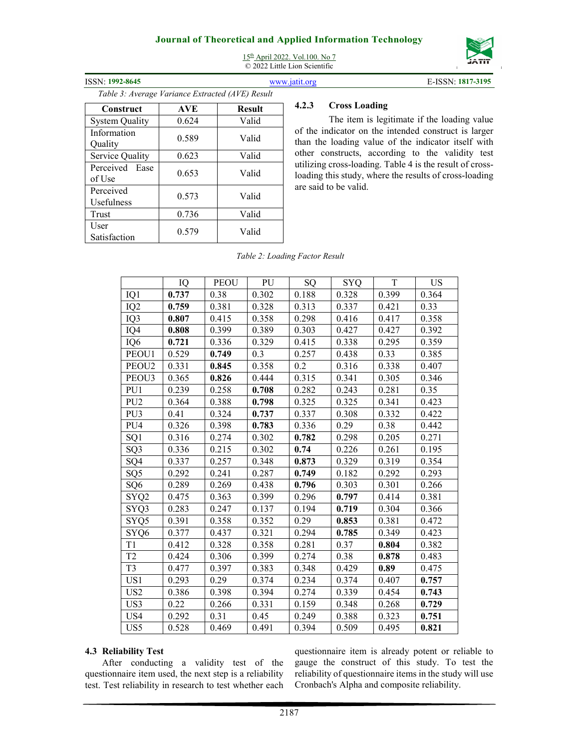# **Journal of Theoretical and Applied Information Technology**  15th April 2022. Vol.100. No 7



| <b>ISSN: 1992-8645</b>                           |            |               | www.jat                      |
|--------------------------------------------------|------------|---------------|------------------------------|
| Table 3: Average Variance Extracted (AVE) Result |            |               |                              |
| Construct                                        | <b>AVE</b> | <b>Result</b> | ۷                            |
| <b>System Quality</b>                            | 0.624      | Valid         |                              |
| Information<br>Ouality                           | 0.589      | Valid         | $\overline{\mathbf{C}}$<br>t |
| Service Quality                                  | 0.623      | Valid         |                              |
| Perceived Ease<br>of Use                         | 0.653      | Valid         | ι                            |
| Perceived<br>Usefulness                          | 0.573      | Valid         | ٤                            |
| Trust                                            | 0.736      | Valid         |                              |
| User<br>Satisfaction                             | 0.579      | Valid         |                              |

# © 2022 Little Lion Scientific

**ISSN: 1817-3195 E-ISSN: 1817-3195** 

## **4.2.3 Cross Loading**

The item is legitimate if the loading value of the indicator on the intended construct is larger than the loading value of the indicator itself with other constructs, according to the validity test utilizing cross-loading. Table 4 is the result of crossloading this study, where the results of cross-loading are said to be valid.

|  |  | Table 2: Loading Factor Result |  |  |
|--|--|--------------------------------|--|--|
|--|--|--------------------------------|--|--|

|                   | IQ    | <b>PEOU</b> | PU    | SQ    | SYQ   | T     | US    |
|-------------------|-------|-------------|-------|-------|-------|-------|-------|
| IQ1               | 0.737 | 0.38        | 0.302 | 0.188 | 0.328 | 0.399 | 0.364 |
| IQ <sub>2</sub>   | 0.759 | 0.381       | 0.328 | 0.313 | 0.337 | 0.421 | 0.33  |
| IQ3               | 0.807 | 0.415       | 0.358 | 0.298 | 0.416 | 0.417 | 0.358 |
| IQ4               | 0.808 | 0.399       | 0.389 | 0.303 | 0.427 | 0.427 | 0.392 |
| IQ <sub>6</sub>   | 0.721 | 0.336       | 0.329 | 0.415 | 0.338 | 0.295 | 0.359 |
| PEOU1             | 0.529 | 0.749       | 0.3   | 0.257 | 0.438 | 0.33  | 0.385 |
| PEOU <sub>2</sub> | 0.331 | 0.845       | 0.358 | 0.2   | 0.316 | 0.338 | 0.407 |
| PEOU3             | 0.365 | 0.826       | 0.444 | 0.315 | 0.341 | 0.305 | 0.346 |
| PU1               | 0.239 | 0.258       | 0.708 | 0.282 | 0.243 | 0.281 | 0.35  |
| PU <sub>2</sub>   | 0.364 | 0.388       | 0.798 | 0.325 | 0.325 | 0.341 | 0.423 |
| PU <sub>3</sub>   | 0.41  | 0.324       | 0.737 | 0.337 | 0.308 | 0.332 | 0.422 |
| PU <sub>4</sub>   | 0.326 | 0.398       | 0.783 | 0.336 | 0.29  | 0.38  | 0.442 |
| SQ1               | 0.316 | 0.274       | 0.302 | 0.782 | 0.298 | 0.205 | 0.271 |
| SQ <sub>3</sub>   | 0.336 | 0.215       | 0.302 | 0.74  | 0.226 | 0.261 | 0.195 |
| SQ4               | 0.337 | 0.257       | 0.348 | 0.873 | 0.329 | 0.319 | 0.354 |
| SQ <sub>5</sub>   | 0.292 | 0.241       | 0.287 | 0.749 | 0.182 | 0.292 | 0.293 |
| SQ <sub>6</sub>   | 0.289 | 0.269       | 0.438 | 0.796 | 0.303 | 0.301 | 0.266 |
| SYQ <sub>2</sub>  | 0.475 | 0.363       | 0.399 | 0.296 | 0.797 | 0.414 | 0.381 |
| SYQ3              | 0.283 | 0.247       | 0.137 | 0.194 | 0.719 | 0.304 | 0.366 |
| SYQ5              | 0.391 | 0.358       | 0.352 | 0.29  | 0.853 | 0.381 | 0.472 |
| SYQ6              | 0.377 | 0.437       | 0.321 | 0.294 | 0.785 | 0.349 | 0.423 |
| T1                | 0.412 | 0.328       | 0.358 | 0.281 | 0.37  | 0.804 | 0.382 |
| T <sub>2</sub>    | 0.424 | 0.306       | 0.399 | 0.274 | 0.38  | 0.878 | 0.483 |
| T <sub>3</sub>    | 0.477 | 0.397       | 0.383 | 0.348 | 0.429 | 0.89  | 0.475 |
| US1               | 0.293 | 0.29        | 0.374 | 0.234 | 0.374 | 0.407 | 0.757 |
| US <sub>2</sub>   | 0.386 | 0.398       | 0.394 | 0.274 | 0.339 | 0.454 | 0.743 |
| US3               | 0.22  | 0.266       | 0.331 | 0.159 | 0.348 | 0.268 | 0.729 |
| US <sub>4</sub>   | 0.292 | 0.31        | 0.45  | 0.249 | 0.388 | 0.323 | 0.751 |
| US <sub>5</sub>   | 0.528 | 0.469       | 0.491 | 0.394 | 0.509 | 0.495 | 0.821 |

#### **4.3 Reliability Test**

After conducting a validity test of the questionnaire item used, the next step is a reliability test. Test reliability in research to test whether each

questionnaire item is already potent or reliable to gauge the construct of this study. To test the reliability of questionnaire items in the study will use Cronbach's Alpha and composite reliability.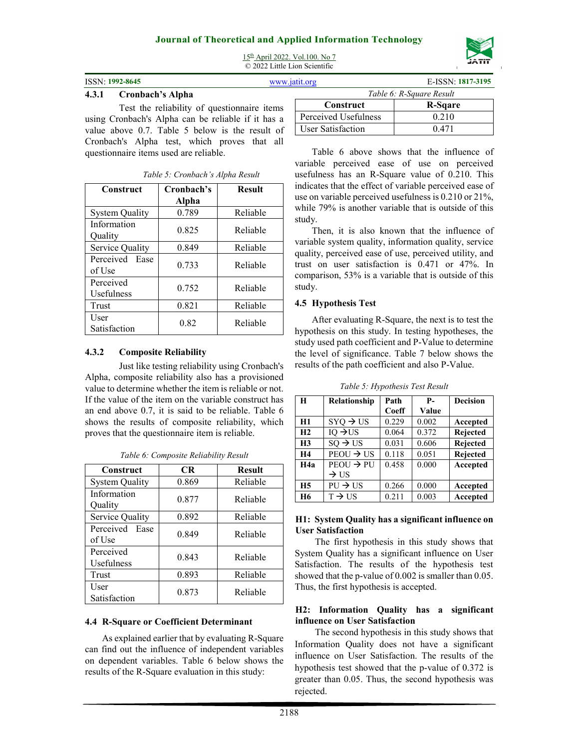

15th April 2022. Vol.100. No 7 © 2022 Little Lion Scientific

#### **4.3.1 Cronbach's Alpha**

Test the reliability of questionnaire items using Cronbach's Alpha can be reliable if it has a value above 0.7. Table 5 below is the result of Cronbach's Alpha test, which proves that all questionnaire items used are reliable.

| Construct                | Cronbach's<br>Alpha | <b>Result</b> |
|--------------------------|---------------------|---------------|
| <b>System Quality</b>    | 0.789               | Reliable      |
| Information<br>Quality   | 0.825               | Reliable      |
| Service Quality          | 0.849               | Reliable      |
| Perceived Ease<br>of Use | 0.733               | Reliable      |
| Perceived<br>Usefulness  | 0.752               | Reliable      |
| Trust                    | 0.821               | Reliable      |
| User<br>Satisfaction     | 0.82                | Reliable      |

*Table 5: Cronbach's Alpha Result*

#### **4.3.2 Composite Reliability**

Just like testing reliability using Cronbach's Alpha, composite reliability also has a provisioned value to determine whether the item is reliable or not. If the value of the item on the variable construct has an end above 0.7, it is said to be reliable. Table 6 shows the results of composite reliability, which proves that the questionnaire item is reliable.

| Construct                | <b>CR</b> | <b>Result</b> |
|--------------------------|-----------|---------------|
| <b>System Quality</b>    | 0.869     | Reliable      |
| Information<br>Quality   | 0.877     | Reliable      |
| Service Quality          | 0.892     | Reliable      |
| Perceived Ease<br>of Use | 0.849     | Reliable      |
| Perceived<br>Usefulness  | 0.843     | Reliable      |
| Trust                    | 0.893     | Reliable      |
| User<br>Satisfaction     | 0.873     | Reliable      |

*Table 6: Composite Reliability Result*

## **4.4 R-Square or Coefficient Determinant**

As explained earlier that by evaluating R-Square can find out the influence of independent variables on dependent variables. Table 6 below shows the results of the R-Square evaluation in this study:

| tit.org              | E-ISSN: 1817-3195        |
|----------------------|--------------------------|
|                      | Table 6: R-Square Result |
| Construct            | R-Sgare                  |
| Perceived Usefulness | 0.210                    |
| User Satisfaction    | 0.471                    |

Table 6 above shows that the influence of variable perceived ease of use on perceived usefulness has an R-Square value of 0.210. This indicates that the effect of variable perceived ease of use on variable perceived usefulness is 0.210 or 21%, while 79% is another variable that is outside of this study.

Then, it is also known that the influence of variable system quality, information quality, service quality, perceived ease of use, perceived utility, and trust on user satisfaction is 0.471 or 47%. In comparison, 53% is a variable that is outside of this study.

#### **4.5 Hypothesis Test**

After evaluating R-Square, the next is to test the hypothesis on this study. In testing hypotheses, the study used path coefficient and P-Value to determine the level of significance. Table 7 below shows the results of the path coefficient and also P-Value.

| H                | <b>Relationship</b>   | Path  | $P-$  | <b>Decision</b> |
|------------------|-----------------------|-------|-------|-----------------|
|                  |                       | Coeff | Value |                 |
| H1               | $SYQ \rightarrow US$  | 0.229 | 0.002 | Accepted        |
| H2               | $IQ \rightarrow US$   | 0.064 | 0.372 | Rejected        |
| H <sub>3</sub>   | $SO \rightarrow US$   | 0.031 | 0.606 | Rejected        |
| <b>H4</b>        | $PEOU \rightarrow US$ | 0.118 | 0.051 | Rejected        |
| H <sub>4</sub> a | $PEOU \rightarrow PU$ | 0.458 | 0.000 | Accepted        |
|                  | $\rightarrow$ US      |       |       |                 |
| H <sub>5</sub>   | $PU \rightarrow US$   | 0.266 | 0.000 | Accepted        |
| <b>H6</b>        | $T \rightarrow US$    | 0.211 | 0.003 | Accepted        |

*Table 5: Hypothesis Test Result*

#### **H1: System Quality has a significant influence on User Satisfaction**

The first hypothesis in this study shows that System Quality has a significant influence on User Satisfaction. The results of the hypothesis test showed that the p-value of 0.002 is smaller than 0.05. Thus, the first hypothesis is accepted.

#### **H2: Information Quality has a significant influence on User Satisfaction**

The second hypothesis in this study shows that Information Quality does not have a significant influence on User Satisfaction. The results of the hypothesis test showed that the p-value of 0.372 is greater than 0.05. Thus, the second hypothesis was rejected.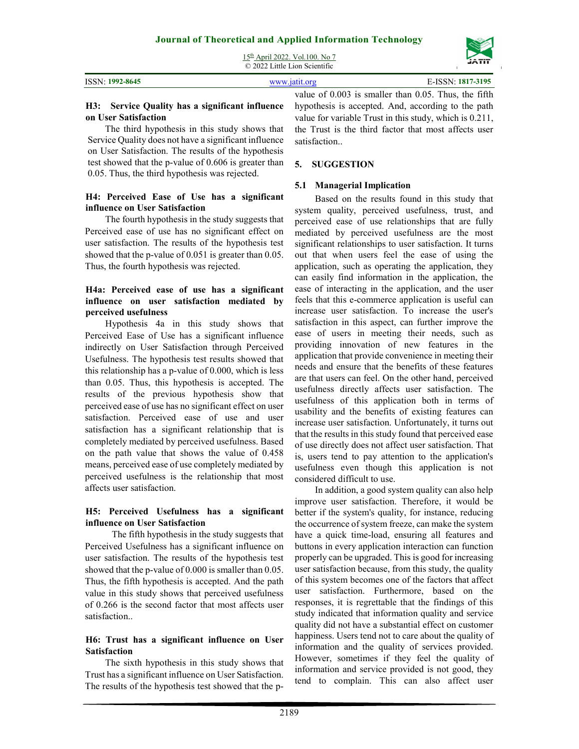|                 | $15th$ April 2022. Vol.100. No 7<br>$\odot$ 2022 Little Lion Scientific | <b><i>COMMENCE</i></b><br>JATIT |
|-----------------|-------------------------------------------------------------------------|---------------------------------|
| ISSN: 1992-8645 | www.jatit.org                                                           | E-ISSN: 1817-3195               |
|                 |                                                                         | -----                           |

#### **H3: Service Quality has a significant influence on User Satisfaction**

The third hypothesis in this study shows that Service Quality does not have a significant influence on User Satisfaction. The results of the hypothesis test showed that the p-value of 0.606 is greater than 0.05. Thus, the third hypothesis was rejected.

#### **H4: Perceived Ease of Use has a significant influence on User Satisfaction**

The fourth hypothesis in the study suggests that Perceived ease of use has no significant effect on user satisfaction. The results of the hypothesis test showed that the p-value of 0.051 is greater than 0.05. Thus, the fourth hypothesis was rejected.

#### **H4a: Perceived ease of use has a significant influence on user satisfaction mediated by perceived usefulness**

Hypothesis 4a in this study shows that Perceived Ease of Use has a significant influence indirectly on User Satisfaction through Perceived Usefulness. The hypothesis test results showed that this relationship has a p-value of 0.000, which is less than 0.05. Thus, this hypothesis is accepted. The results of the previous hypothesis show that perceived ease of use has no significant effect on user satisfaction. Perceived ease of use and user satisfaction has a significant relationship that is completely mediated by perceived usefulness. Based on the path value that shows the value of 0.458 means, perceived ease of use completely mediated by perceived usefulness is the relationship that most affects user satisfaction.

## **H5: Perceived Usefulness has a significant influence on User Satisfaction**

The fifth hypothesis in the study suggests that Perceived Usefulness has a significant influence on user satisfaction. The results of the hypothesis test showed that the p-value of 0.000 is smaller than 0.05. Thus, the fifth hypothesis is accepted. And the path value in this study shows that perceived usefulness of 0.266 is the second factor that most affects user satisfaction..

#### **H6: Trust has a significant influence on User Satisfaction**

The sixth hypothesis in this study shows that Trust has a significant influence on User Satisfaction. The results of the hypothesis test showed that the p-

value of 0.003 is smaller than 0.05. Thus, the fifth hypothesis is accepted. And, according to the path value for variable Trust in this study, which is 0.211, the Trust is the third factor that most affects user satisfaction..

## **5. SUGGESTION**

## **5.1 Managerial Implication**

Based on the results found in this study that system quality, perceived usefulness, trust, and perceived ease of use relationships that are fully mediated by perceived usefulness are the most significant relationships to user satisfaction. It turns out that when users feel the ease of using the application, such as operating the application, they can easily find information in the application, the ease of interacting in the application, and the user feels that this e-commerce application is useful can increase user satisfaction. To increase the user's satisfaction in this aspect, can further improve the ease of users in meeting their needs, such as providing innovation of new features in the application that provide convenience in meeting their needs and ensure that the benefits of these features are that users can feel. On the other hand, perceived usefulness directly affects user satisfaction. The usefulness of this application both in terms of usability and the benefits of existing features can increase user satisfaction. Unfortunately, it turns out that the results in this study found that perceived ease of use directly does not affect user satisfaction. That is, users tend to pay attention to the application's usefulness even though this application is not considered difficult to use.

In addition, a good system quality can also help improve user satisfaction. Therefore, it would be better if the system's quality, for instance, reducing the occurrence of system freeze, can make the system have a quick time-load, ensuring all features and buttons in every application interaction can function properly can be upgraded. This is good for increasing user satisfaction because, from this study, the quality of this system becomes one of the factors that affect user satisfaction. Furthermore, based on the responses, it is regrettable that the findings of this study indicated that information quality and service quality did not have a substantial effect on customer happiness. Users tend not to care about the quality of information and the quality of services provided. However, sometimes if they feel the quality of information and service provided is not good, they tend to complain. This can also affect user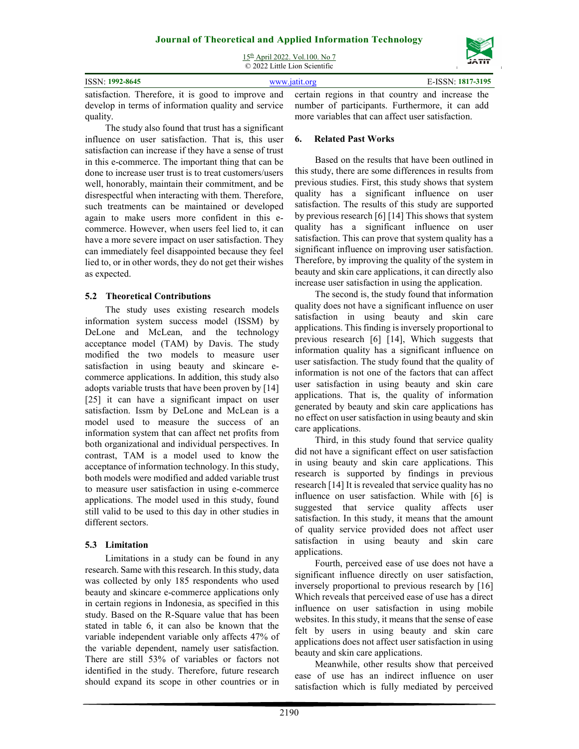15th April 2022. Vol.100. No 7 © 2022 Little Lion Scientific

|                                                                                                     | $\cup$ 2022 Little Lion Scientific |  |                   |  |  |
|-----------------------------------------------------------------------------------------------------|------------------------------------|--|-------------------|--|--|
| <b>ISSN: 1992-8645</b>                                                                              | www.jatit.org                      |  | E-ISSN: 1817-3195 |  |  |
| satisfaction. Therefore, it is good to improve and certain regions in that country and increase the |                                    |  |                   |  |  |

develop in terms of information quality and service quality.

The study also found that trust has a significant influence on user satisfaction. That is, this user satisfaction can increase if they have a sense of trust in this e-commerce. The important thing that can be done to increase user trust is to treat customers/users well, honorably, maintain their commitment, and be disrespectful when interacting with them. Therefore, such treatments can be maintained or developed again to make users more confident in this ecommerce. However, when users feel lied to, it can have a more severe impact on user satisfaction. They can immediately feel disappointed because they feel lied to, or in other words, they do not get their wishes as expected.

# **5.2 Theoretical Contributions**

The study uses existing research models information system success model (ISSM) by DeLone and McLean, and the technology acceptance model (TAM) by Davis. The study modified the two models to measure user satisfaction in using beauty and skincare ecommerce applications. In addition, this study also adopts variable trusts that have been proven by [14] [25] it can have a significant impact on user satisfaction. Issm by DeLone and McLean is a model used to measure the success of an information system that can affect net profits from both organizational and individual perspectives. In contrast, TAM is a model used to know the acceptance of information technology. In this study, both models were modified and added variable trust to measure user satisfaction in using e-commerce applications. The model used in this study, found still valid to be used to this day in other studies in different sectors.

# **5.3 Limitation**

Limitations in a study can be found in any research. Same with this research. In this study, data was collected by only 185 respondents who used beauty and skincare e-commerce applications only in certain regions in Indonesia, as specified in this study. Based on the R-Square value that has been stated in table 6, it can also be known that the variable independent variable only affects 47% of the variable dependent, namely user satisfaction. There are still 53% of variables or factors not identified in the study. Therefore, future research should expand its scope in other countries or in number of participants. Furthermore, it can add more variables that can affect user satisfaction.

# **6. Related Past Works**

Based on the results that have been outlined in this study, there are some differences in results from previous studies. First, this study shows that system quality has a significant influence on user satisfaction. The results of this study are supported by previous research [6] [14] This shows that system quality has a significant influence on user satisfaction. This can prove that system quality has a significant influence on improving user satisfaction. Therefore, by improving the quality of the system in beauty and skin care applications, it can directly also increase user satisfaction in using the application.

The second is, the study found that information quality does not have a significant influence on user satisfaction in using beauty and skin care applications. This finding is inversely proportional to previous research [6] [14], Which suggests that information quality has a significant influence on user satisfaction. The study found that the quality of information is not one of the factors that can affect user satisfaction in using beauty and skin care applications. That is, the quality of information generated by beauty and skin care applications has no effect on user satisfaction in using beauty and skin care applications.

Third, in this study found that service quality did not have a significant effect on user satisfaction in using beauty and skin care applications. This research is supported by findings in previous research [14] It is revealed that service quality has no influence on user satisfaction. While with [6] is suggested that service quality affects user satisfaction. In this study, it means that the amount of quality service provided does not affect user satisfaction in using beauty and skin care applications.

Fourth, perceived ease of use does not have a significant influence directly on user satisfaction, inversely proportional to previous research by [16] Which reveals that perceived ease of use has a direct influence on user satisfaction in using mobile websites. In this study, it means that the sense of ease felt by users in using beauty and skin care applications does not affect user satisfaction in using beauty and skin care applications.

Meanwhile, other results show that perceived ease of use has an indirect influence on user satisfaction which is fully mediated by perceived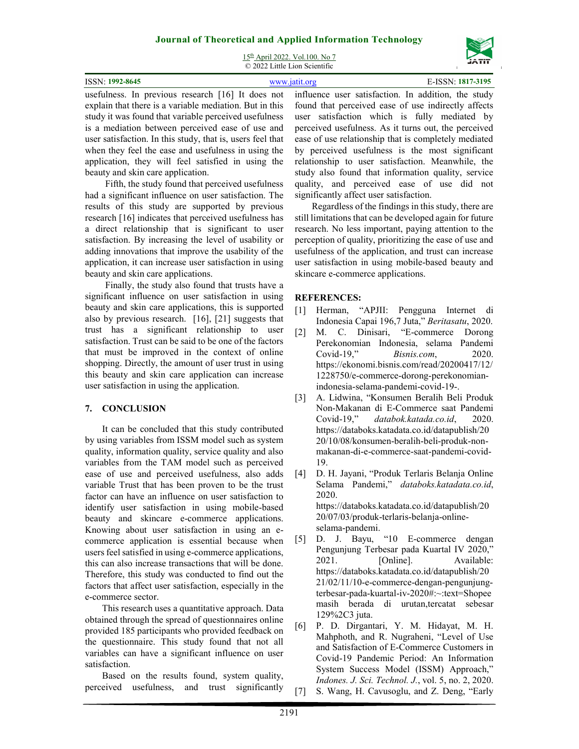15th April 2022. Vol.100. No 7 © 2022 Little Lion Scientific

| <b>ISSN: 1992-8645</b>                                                                                         | www.jatit.org |  | E-ISSN: 1817-3195 |  |
|----------------------------------------------------------------------------------------------------------------|---------------|--|-------------------|--|
| usefulness. In previous research [16] It does not influence user satisfaction. In addition, the study          |               |  |                   |  |
| explain that there is a variable mediation. But in this found that perceived ease of use indirectly affects    |               |  |                   |  |
| study it was found that variable perceived usefulness user satisfaction which is fully mediated by             |               |  |                   |  |
| to a martial of transaction and the common contraction of the common and the second also be a second of the se |               |  |                   |  |

is a mediation between perceived ease of use and user satisfaction. In this study, that is, users feel that when they feel the ease and usefulness in using the application, they will feel satisfied in using the beauty and skin care application.

Fifth, the study found that perceived usefulness had a significant influence on user satisfaction. The results of this study are supported by previous research [16] indicates that perceived usefulness has a direct relationship that is significant to user satisfaction. By increasing the level of usability or adding innovations that improve the usability of the application, it can increase user satisfaction in using beauty and skin care applications.

Finally, the study also found that trusts have a significant influence on user satisfaction in using beauty and skin care applications, this is supported also by previous research. [16], [21] suggests that trust has a significant relationship to user satisfaction. Trust can be said to be one of the factors that must be improved in the context of online shopping. Directly, the amount of user trust in using this beauty and skin care application can increase user satisfaction in using the application.

## **7. CONCLUSION**

It can be concluded that this study contributed by using variables from ISSM model such as system quality, information quality, service quality and also variables from the TAM model such as perceived ease of use and perceived usefulness, also adds variable Trust that has been proven to be the trust factor can have an influence on user satisfaction to identify user satisfaction in using mobile-based beauty and skincare e-commerce applications. Knowing about user satisfaction in using an ecommerce application is essential because when users feel satisfied in using e-commerce applications, this can also increase transactions that will be done. Therefore, this study was conducted to find out the factors that affect user satisfaction, especially in the e-commerce sector.

This research uses a quantitative approach. Data obtained through the spread of questionnaires online provided 185 participants who provided feedback on the questionnaire. This study found that not all variables can have a significant influence on user satisfaction.

Based on the results found, system quality, perceived usefulness, and trust significantly

user satisfaction which is fully mediated by perceived usefulness. As it turns out, the perceived ease of use relationship that is completely mediated by perceived usefulness is the most significant relationship to user satisfaction. Meanwhile, the study also found that information quality, service quality, and perceived ease of use did not significantly affect user satisfaction.

Regardless of the findings in this study, there are still limitations that can be developed again for future research. No less important, paying attention to the perception of quality, prioritizing the ease of use and usefulness of the application, and trust can increase user satisfaction in using mobile-based beauty and skincare e-commerce applications.

## **REFERENCES:**

- [1] Herman, "APJII: Pengguna Internet di Indonesia Capai 196,7 Juta," *Beritasatu*, 2020.
- [2] M. C. Dinisari, "E-commerce Dorong Perekonomian Indonesia, selama Pandemi Covid-19," *Bisnis.com*, 2020. https://ekonomi.bisnis.com/read/20200417/12/ 1228750/e-commerce-dorong-perekonomianindonesia-selama-pandemi-covid-19-.
- [3] A. Lidwina, "Konsumen Beralih Beli Produk Non-Makanan di E-Commerce saat Pandemi Covid-19," *databok.katada.co.id*, 2020. https://databoks.katadata.co.id/datapublish/20 20/10/08/konsumen-beralih-beli-produk-nonmakanan-di-e-commerce-saat-pandemi-covid-19.
- [4] D. H. Jayani, "Produk Terlaris Belanja Online Selama Pandemi," *databoks.katadata.co.id*, 2020. https://databoks.katadata.co.id/datapublish/20 20/07/03/produk-terlaris-belanja-online-

selama-pandemi.

- [5] D. J. Bayu, "10 E-commerce dengan Pengunjung Terbesar pada Kuartal IV 2020," 2021. [Online]. Available: https://databoks.katadata.co.id/datapublish/20 21/02/11/10-e-commerce-dengan-pengunjungterbesar-pada-kuartal-iv-2020#:~:text=Shopee masih berada di urutan,tercatat sebesar 129%2C3 juta.
- [6] P. D. Dirgantari, Y. M. Hidayat, M. H. Mahphoth, and R. Nugraheni, "Level of Use and Satisfaction of E-Commerce Customers in Covid-19 Pandemic Period: An Information System Success Model (ISSM) Approach," *Indones. J. Sci. Technol. J.*, vol. 5, no. 2, 2020.
- [7] S. Wang, H. Cavusoglu, and Z. Deng, "Early